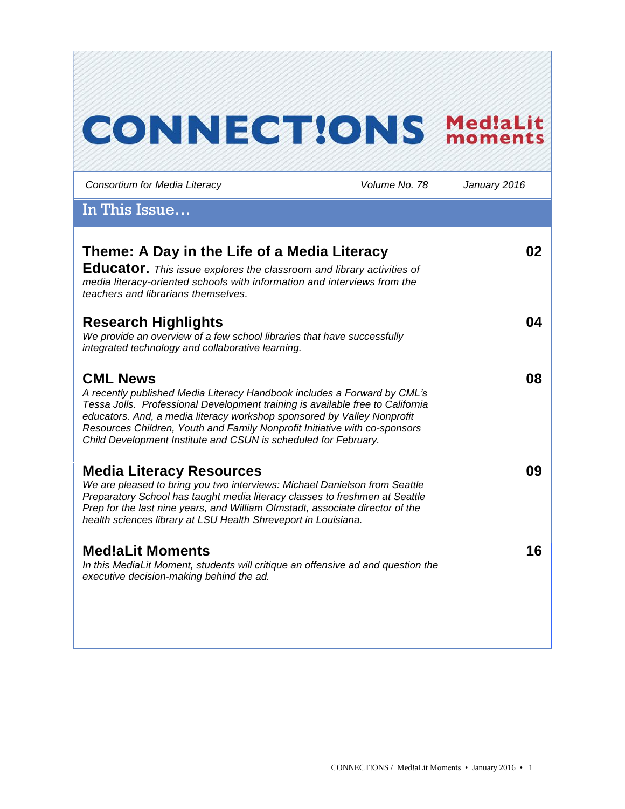# **CONNECT!ONS MediaLit**

*Consortium for Media Literacy Volume No. 78 January 2016* In This Issue… **Theme: A Day in the Life of a Media Literacy Educator.** *This issue explores the classroom and library activities of media literacy-oriented schools with information and interviews from the teachers and librarians themselves.* **02 Research Highlights** *We provide an overview of a few school libraries that have successfully integrated technology and collaborative learning.*  **04 CML News**  *A recently published Media Literacy Handbook includes a Forward by CML's Tessa Jolls. Professional Development training is available free to California educators. And, a media literacy workshop sponsored by Valley Nonprofit Resources Children, Youth and Family Nonprofit Initiative with co-sponsors Child Development Institute and CSUN is scheduled for February.*  **08 Media Literacy Resources** *We are pleased to bring you two interviews: Michael Danielson from Seattle Preparatory School has taught media literacy classes to freshmen at Seattle Prep for the last nine years, and William Olmstadt, associate director of the health sciences library at LSU Health Shreveport in Louisiana.* **09 Med!aLit Moments** *In this MediaLit Moment, students will critique an offensive ad and question the executive decision-making behind the ad.*  **16**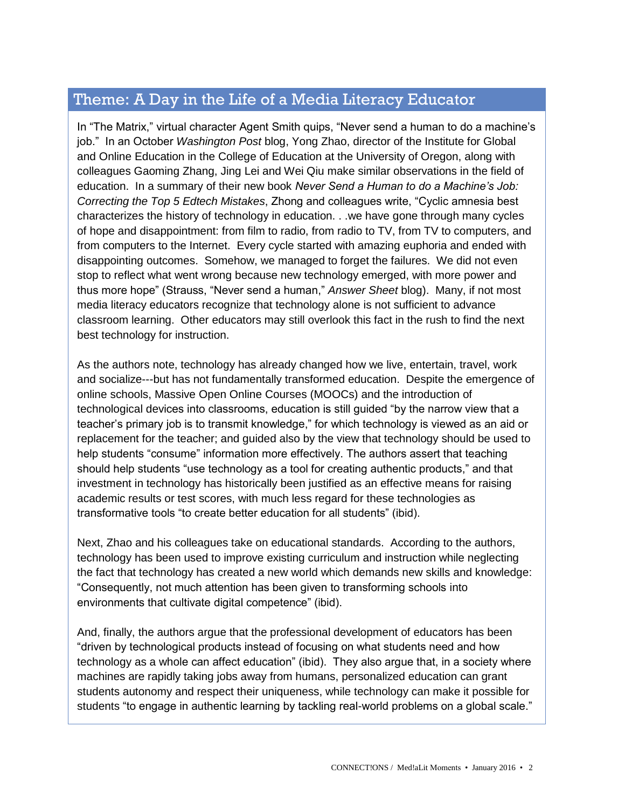# Theme: A Day in the Life of a Media Literacy Educator

In "The Matrix," virtual character Agent Smith quips, "Never send a human to do a machine's job." In an October *Washington Post* blog, Yong Zhao, director of the Institute for Global and Online Education in the College of Education at the University of Oregon, along with colleagues Gaoming Zhang, Jing Lei and Wei Qiu make similar observations in the field of education. In a summary of their new book *Never Send a Human to do a Machine's Job: Correcting the Top 5 Edtech Mistakes*, Zhong and colleagues write, "Cyclic amnesia best characterizes the history of technology in education. . .we have gone through many cycles of hope and disappointment: from film to radio, from radio to TV, from TV to computers, and from computers to the Internet. Every cycle started with amazing euphoria and ended with disappointing outcomes. Somehow, we managed to forget the failures. We did not even stop to reflect what went wrong because new technology emerged, with more power and thus more hope" (Strauss, "Never send a human," *Answer Sheet* blog). Many, if not most media literacy educators recognize that technology alone is not sufficient to advance classroom learning. Other educators may still overlook this fact in the rush to find the next best technology for instruction.

As the authors note, technology has already changed how we live, entertain, travel, work and socialize---but has not fundamentally transformed education. Despite the emergence of online schools, Massive Open Online Courses (MOOCs) and the introduction of technological devices into classrooms, education is still guided "by the narrow view that a teacher's primary job is to transmit knowledge," for which technology is viewed as an aid or replacement for the teacher; and guided also by the view that technology should be used to help students "consume" information more effectively. The authors assert that teaching should help students "use technology as a tool for creating authentic products," and that investment in technology has historically been justified as an effective means for raising academic results or test scores, with much less regard for these technologies as transformative tools "to create better education for all students" (ibid).

Next, Zhao and his colleagues take on educational standards. According to the authors, technology has been used to improve existing curriculum and instruction while neglecting the fact that technology has created a new world which demands new skills and knowledge: "Consequently, not much attention has been given to transforming schools into environments that cultivate digital competence" (ibid).

And, finally, the authors argue that the professional development of educators has been "driven by technological products instead of focusing on what students need and how technology as a whole can affect education" (ibid). They also argue that, in a society where machines are rapidly taking jobs away from humans, personalized education can grant students autonomy and respect their uniqueness, while technology can make it possible for students "to engage in authentic learning by tackling real-world problems on a global scale."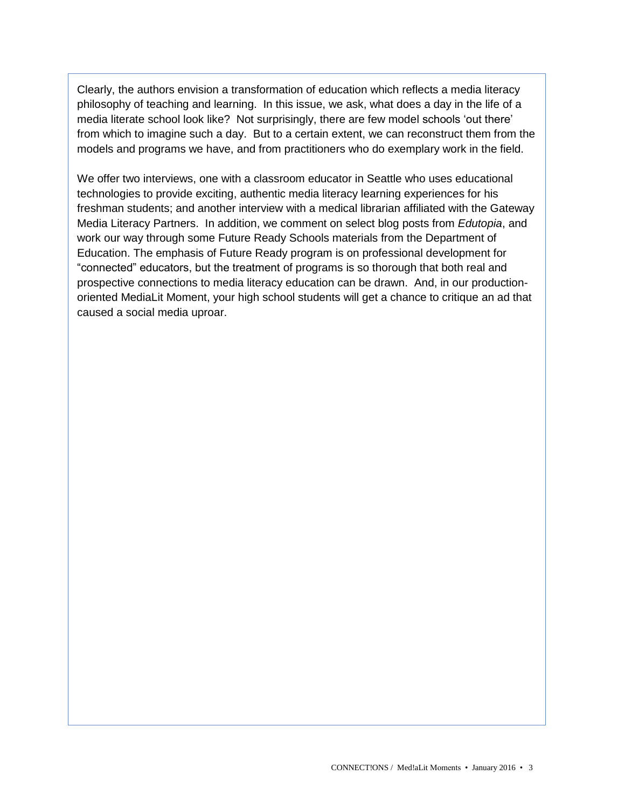Clearly, the authors envision a transformation of education which reflects a media literacy philosophy of teaching and learning. In this issue, we ask, what does a day in the life of a media literate school look like? Not surprisingly, there are few model schools 'out there' from which to imagine such a day. But to a certain extent, we can reconstruct them from the models and programs we have, and from practitioners who do exemplary work in the field.

We offer two interviews, one with a classroom educator in Seattle who uses educational technologies to provide exciting, authentic media literacy learning experiences for his freshman students; and another interview with a medical librarian affiliated with the Gateway Media Literacy Partners. In addition, we comment on select blog posts from *Edutopia*, and work our way through some Future Ready Schools materials from the Department of Education. The emphasis of Future Ready program is on professional development for "connected" educators, but the treatment of programs is so thorough that both real and prospective connections to media literacy education can be drawn. And, in our productionoriented MediaLit Moment, your high school students will get a chance to critique an ad that caused a social media uproar.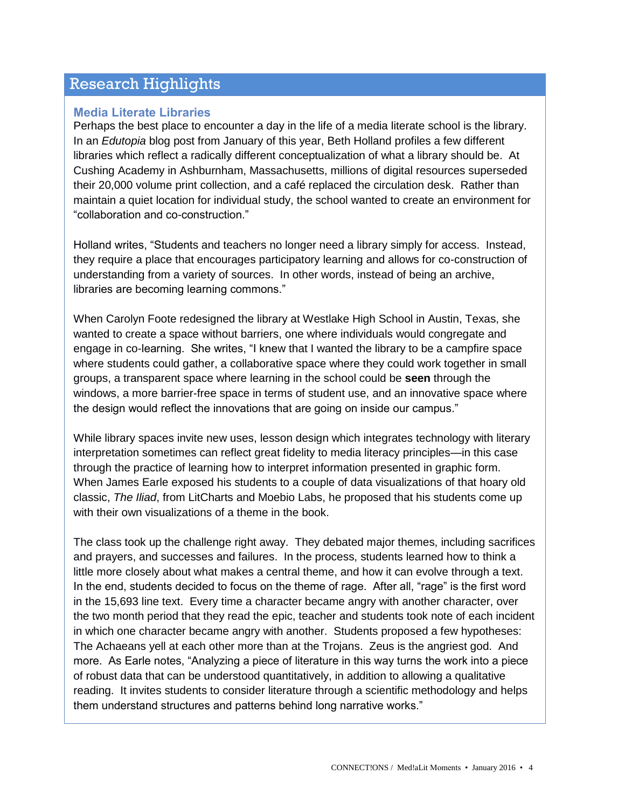## Research Highlights

#### **Media Literate Libraries**

Perhaps the best place to encounter a day in the life of a media literate school is the library. In an *Edutopia* blog post from January of this year, Beth Holland profiles a few different libraries which reflect a radically different conceptualization of what a library should be. At Cushing Academy in Ashburnham, Massachusetts, millions of digital resources superseded their 20,000 volume print collection, and a café replaced the circulation desk. Rather than maintain a quiet location for individual study, the school wanted to create an environment for "collaboration and co-construction."

Holland writes, "Students and teachers no longer need a library simply for access. Instead, they require a place that encourages participatory learning and allows for co-construction of understanding from a variety of sources. In other words, instead of being an archive, libraries are becoming learning commons."

When Carolyn Foote redesigned the library at Westlake High School in Austin, Texas, she wanted to create a space without barriers, one where individuals would congregate and engage in co-learning. She writes, "I knew that I wanted the library to be a campfire space where students could gather, a collaborative space where they could work together in small groups, a transparent space where learning in the school could be **seen** through the windows, a more barrier-free space in terms of student use, and an innovative space where the design would reflect the innovations that are going on inside our campus."

While library spaces invite new uses, lesson design which integrates technology with literary interpretation sometimes can reflect great fidelity to media literacy principles—in this case through the practice of learning how to interpret information presented in graphic form. When James Earle exposed his students to a couple of data visualizations of that hoary old classic, *The Iliad*, from LitCharts and Moebio Labs, he proposed that his students come up with their own visualizations of a theme in the book.

The class took up the challenge right away. They debated major themes, including sacrifices and prayers, and successes and failures. In the process, students learned how to think a little more closely about what makes a central theme, and how it can evolve through a text. In the end, students decided to focus on the theme of rage. After all, "rage" is the first word in the 15,693 line text. Every time a character became angry with another character, over the two month period that they read the epic, teacher and students took note of each incident in which one character became angry with another. Students proposed a few hypotheses: The Achaeans yell at each other more than at the Trojans. Zeus is the angriest god. And more. As Earle notes, "Analyzing a piece of literature in this way turns the work into a piece of robust data that can be understood quantitatively, in addition to allowing a qualitative reading. It invites students to consider literature through a scientific methodology and helps them understand structures and patterns behind long narrative works."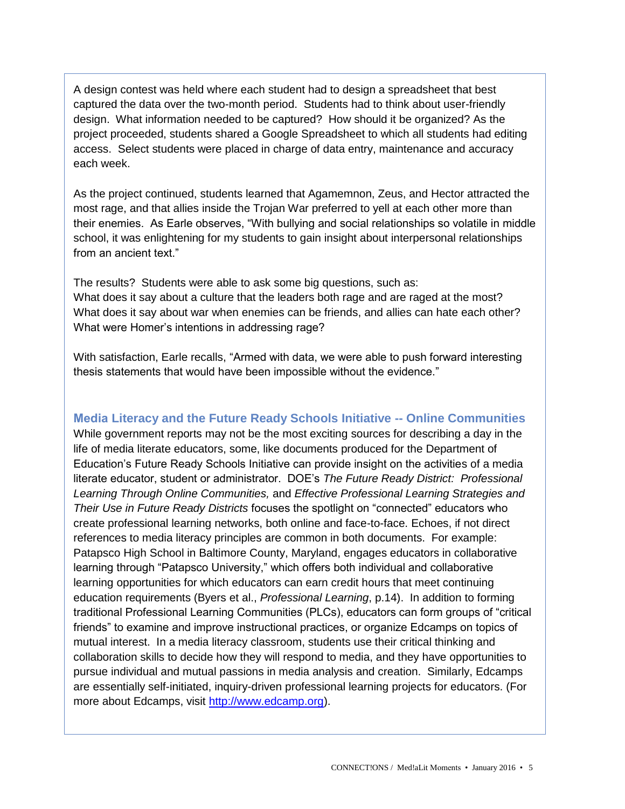A design contest was held where each student had to design a spreadsheet that best captured the data over the two-month period. Students had to think about user-friendly design. What information needed to be captured? How should it be organized? As the project proceeded, students shared a Google Spreadsheet to which all students had editing access. Select students were placed in charge of data entry, maintenance and accuracy each week.

As the project continued, students learned that Agamemnon, Zeus, and Hector attracted the most rage, and that allies inside the Trojan War preferred to yell at each other more than their enemies. As Earle observes, "With bullying and social relationships so volatile in middle school, it was enlightening for my students to gain insight about interpersonal relationships from an ancient text."

The results? Students were able to ask some big questions, such as: What does it say about a culture that the leaders both rage and are raged at the most? What does it say about war when enemies can be friends, and allies can hate each other? What were Homer's intentions in addressing rage?

With satisfaction, Earle recalls, "Armed with data, we were able to push forward interesting thesis statements that would have been impossible without the evidence."

### **Media Literacy and the Future Ready Schools Initiative -- Online Communities**

While government reports may not be the most exciting sources for describing a day in the life of media literate educators, some, like documents produced for the Department of Education's Future Ready Schools Initiative can provide insight on the activities of a media literate educator, student or administrator. DOE's *The Future Ready District: Professional Learning Through Online Communities,* and *Effective Professional Learning Strategies and Their Use in Future Ready Districts* focuses the spotlight on "connected" educators who create professional learning networks, both online and face-to-face. Echoes, if not direct references to media literacy principles are common in both documents. For example: Patapsco High School in Baltimore County, Maryland, engages educators in collaborative learning through "Patapsco University," which offers both individual and collaborative learning opportunities for which educators can earn credit hours that meet continuing education requirements (Byers et al., *Professional Learning*, p.14). In addition to forming traditional Professional Learning Communities (PLCs), educators can form groups of "critical friends" to examine and improve instructional practices, or organize Edcamps on topics of mutual interest. In a media literacy classroom, students use their critical thinking and collaboration skills to decide how they will respond to media, and they have opportunities to pursue individual and mutual passions in media analysis and creation. Similarly, Edcamps are essentially self-initiated, inquiry-driven professional learning projects for educators. (For more about Edcamps, visit [http://www.edcamp.org\)](http://www.edcamp.org/).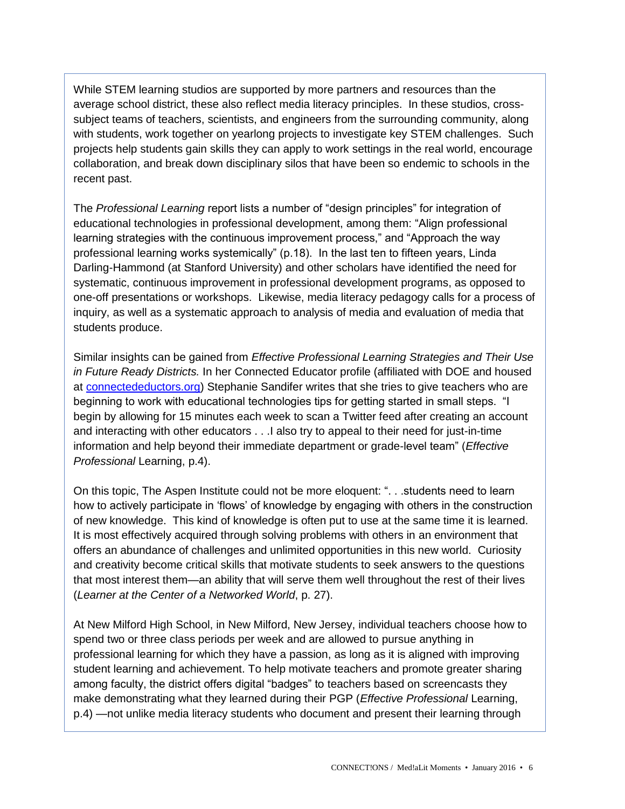While STEM learning studios are supported by more partners and resources than the average school district, these also reflect media literacy principles. In these studios, crosssubject teams of teachers, scientists, and engineers from the surrounding community, along with students, work together on yearlong projects to investigate key STEM challenges. Such projects help students gain skills they can apply to work settings in the real world, encourage collaboration, and break down disciplinary silos that have been so endemic to schools in the recent past.

The *Professional Learning* report lists a number of "design principles" for integration of educational technologies in professional development, among them: "Align professional learning strategies with the continuous improvement process," and "Approach the way professional learning works systemically" (p.18). In the last ten to fifteen years, Linda Darling-Hammond (at Stanford University) and other scholars have identified the need for systematic, continuous improvement in professional development programs, as opposed to one-off presentations or workshops. Likewise, media literacy pedagogy calls for a process of inquiry, as well as a systematic approach to analysis of media and evaluation of media that students produce.

Similar insights can be gained from *Effective Professional Learning Strategies and Their Use in Future Ready Districts.* In her Connected Educator profile (affiliated with DOE and housed at [connectedeductors.org\)](http://www.connectededucators.org/) Stephanie Sandifer writes that she tries to give teachers who are beginning to work with educational technologies tips for getting started in small steps. "I begin by allowing for 15 minutes each week to scan a Twitter feed after creating an account and interacting with other educators . . .I also try to appeal to their need for just-in-time information and help beyond their immediate department or grade-level team" (*Effective Professional* Learning, p.4).

On this topic, The Aspen Institute could not be more eloquent: ". . .students need to learn how to actively participate in 'flows' of knowledge by engaging with others in the construction of new knowledge. This kind of knowledge is often put to use at the same time it is learned. It is most effectively acquired through solving problems with others in an environment that offers an abundance of challenges and unlimited opportunities in this new world. Curiosity and creativity become critical skills that motivate students to seek answers to the questions that most interest them—an ability that will serve them well throughout the rest of their lives (*Learner at the Center of a Networked World*, p. 27).

At New Milford High School, in New Milford, New Jersey, individual teachers choose how to spend two or three class periods per week and are allowed to pursue anything in professional learning for which they have a passion, as long as it is aligned with improving student learning and achievement. To help motivate teachers and promote greater sharing among faculty, the district offers digital "badges" to teachers based on screencasts they make demonstrating what they learned during their PGP (*Effective Professional* Learning, p.4) —not unlike media literacy students who document and present their learning through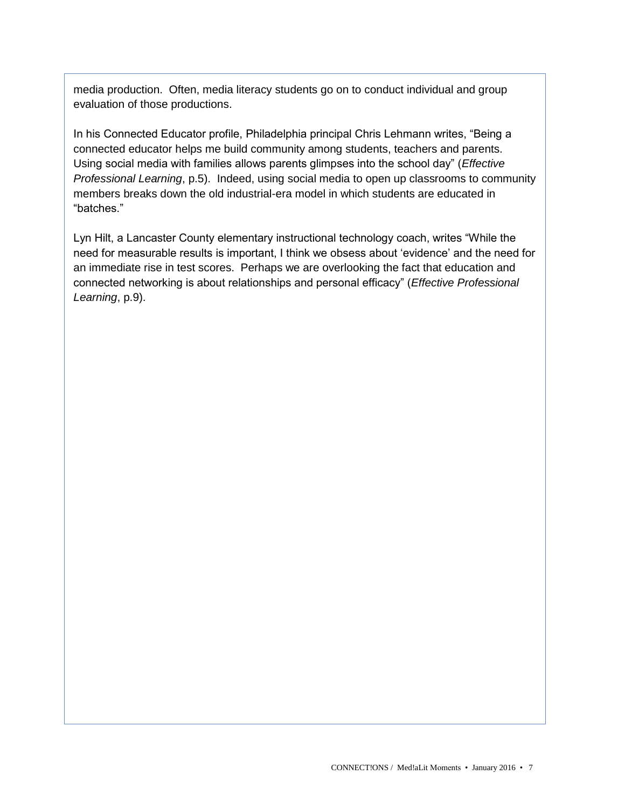media production. Often, media literacy students go on to conduct individual and group evaluation of those productions.

In his Connected Educator profile, Philadelphia principal Chris Lehmann writes, "Being a connected educator helps me build community among students, teachers and parents. Using social media with families allows parents glimpses into the school day" (*Effective Professional Learning*, p.5). Indeed, using social media to open up classrooms to community members breaks down the old industrial-era model in which students are educated in "batches."

Lyn Hilt, a Lancaster County elementary instructional technology coach, writes "While the need for measurable results is important, I think we obsess about 'evidence' and the need for an immediate rise in test scores. Perhaps we are overlooking the fact that education and connected networking is about relationships and personal efficacy" (*Effective Professional Learning*, p.9).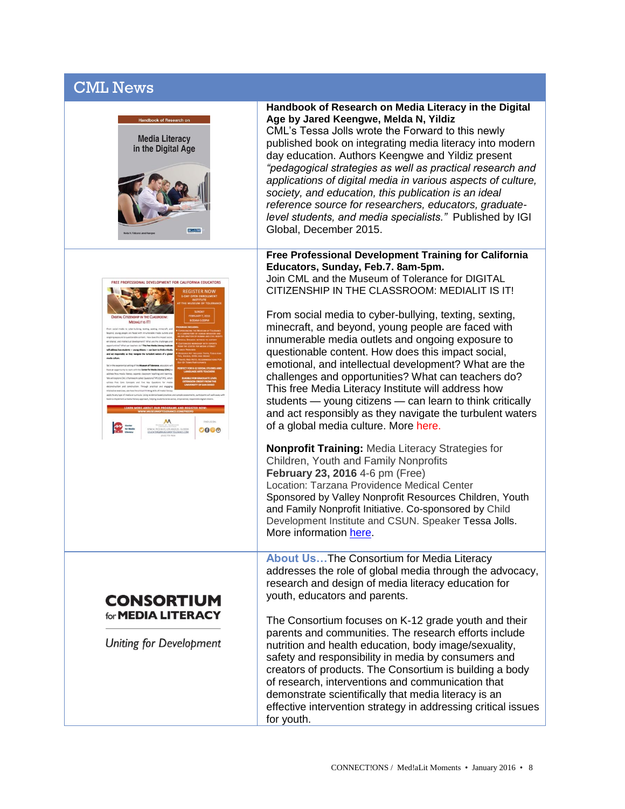# CML News





## **CONSORTIUM** for **MEDIA LITERACY**

Uniting for Development

#### **Handbook of Research on Media Literacy in the Digital Age by Jared Keengwe, Melda N, Yildiz**

CML's Tessa Jolls wrote the Forward to this newly published book on integrating media literacy into modern day education. Authors Keengwe and Yildiz present *"pedagogical strategies as well as practical research and applications of digital media in various aspects of culture, society, and education, this publication is an ideal reference source for researchers, educators, graduatelevel students, and media specialists."* Published by IGI Global, December 2015.

#### **Free Professional Development Training for California Educators, Sunday, Feb.7. 8am-5pm.**  Join CML and the Museum of Tolerance for DIGITAL

CITIZENSHIP IN THE CLASSROOM: MEDIALIT IS IT!

From social media to cyber-bullying, texting, sexting, minecraft, and beyond, young people are faced with innumerable media outlets and ongoing exposure to questionable content. How does this impact social, emotional, and intellectual development? What are the challenges and opportunities? What can teachers do? This free Media Literacy Institute will address how students — young citizens — can learn to think critically and act responsibly as they navigate the turbulent waters of a global media culture. More [here.](http://medialit.org/announcements)

**Nonprofit Training:** Media Literacy Strategies for Children, Youth and Family Nonprofits **February 23, 2016** 4-6 pm (Free) Location: Tarzana Providence Medical Center Sponsored by Valley Nonprofit Resources Children, Youth and Family Nonprofit Initiative. Co-sponsored by Child Development Institute and CSUN. Speaker Tessa Jolls. More information [here.](http://www.medialit.com/announcements)

**About Us…**The Consortium for Media Literacy addresses the role of global media through the advocacy, research and design of media literacy education for youth, educators and parents.

The Consortium focuses on K-12 grade youth and their parents and communities. The research efforts include nutrition and health education, body image/sexuality, safety and responsibility in media by consumers and creators of products. The Consortium is building a body of research, interventions and communication that demonstrate scientifically that media literacy is an effective intervention strategy in addressing critical issues for youth.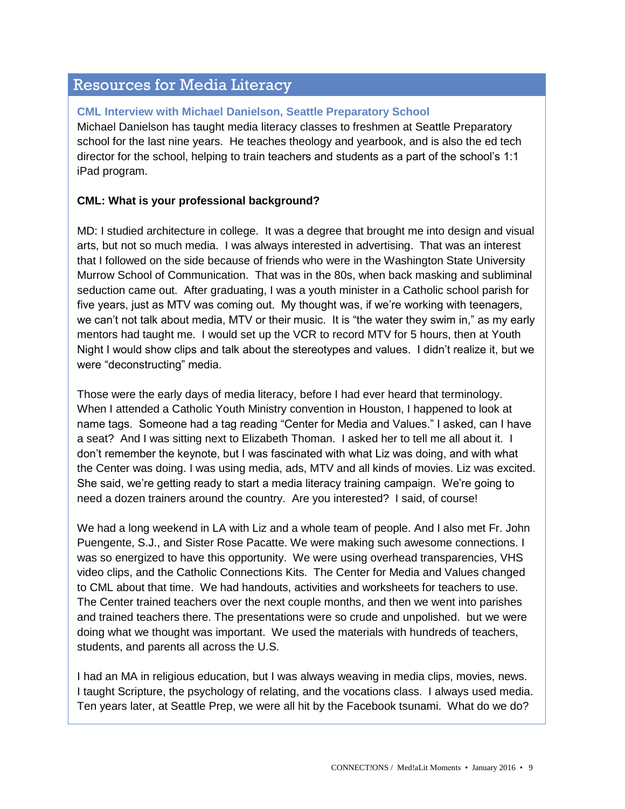## Resources for Media Literacy

#### **CML Interview with Michael Danielson, Seattle Preparatory School**

Michael Danielson has taught media literacy classes to freshmen at Seattle Preparatory school for the last nine years. He teaches theology and yearbook, and is also the ed tech director for the school, helping to train teachers and students as a part of the school's 1:1 iPad program.

#### **CML: What is your professional background?**

MD: I studied architecture in college. It was a degree that brought me into design and visual arts, but not so much media. I was always interested in advertising. That was an interest that I followed on the side because of friends who were in the Washington State University Murrow School of Communication. That was in the 80s, when back masking and subliminal seduction came out. After graduating, I was a youth minister in a Catholic school parish for five years, just as MTV was coming out. My thought was, if we're working with teenagers, we can't not talk about media, MTV or their music. It is "the water they swim in," as my early mentors had taught me. I would set up the VCR to record MTV for 5 hours, then at Youth Night I would show clips and talk about the stereotypes and values. I didn't realize it, but we were "deconstructing" media.

Those were the early days of media literacy, before I had ever heard that terminology. When I attended a Catholic Youth Ministry convention in Houston, I happened to look at name tags. Someone had a tag reading "Center for Media and Values." I asked, can I have a seat? And I was sitting next to Elizabeth Thoman. I asked her to tell me all about it. I don't remember the keynote, but I was fascinated with what Liz was doing, and with what the Center was doing. I was using media, ads, MTV and all kinds of movies. Liz was excited. She said, we're getting ready to start a media literacy training campaign. We're going to need a dozen trainers around the country. Are you interested? I said, of course!

We had a long weekend in LA with Liz and a whole team of people. And I also met Fr. John Puengente, S.J., and Sister Rose Pacatte. We were making such awesome connections. I was so energized to have this opportunity. We were using overhead transparencies, VHS video clips, and the Catholic Connections Kits. The Center for Media and Values changed to CML about that time. We had handouts, activities and worksheets for teachers to use. The Center trained teachers over the next couple months, and then we went into parishes and trained teachers there. The presentations were so crude and unpolished. but we were doing what we thought was important. We used the materials with hundreds of teachers, students, and parents all across the U.S.

I had an MA in religious education, but I was always weaving in media clips, movies, news. I taught Scripture, the psychology of relating, and the vocations class. I always used media. Ten years later, at Seattle Prep, we were all hit by the Facebook tsunami. What do we do?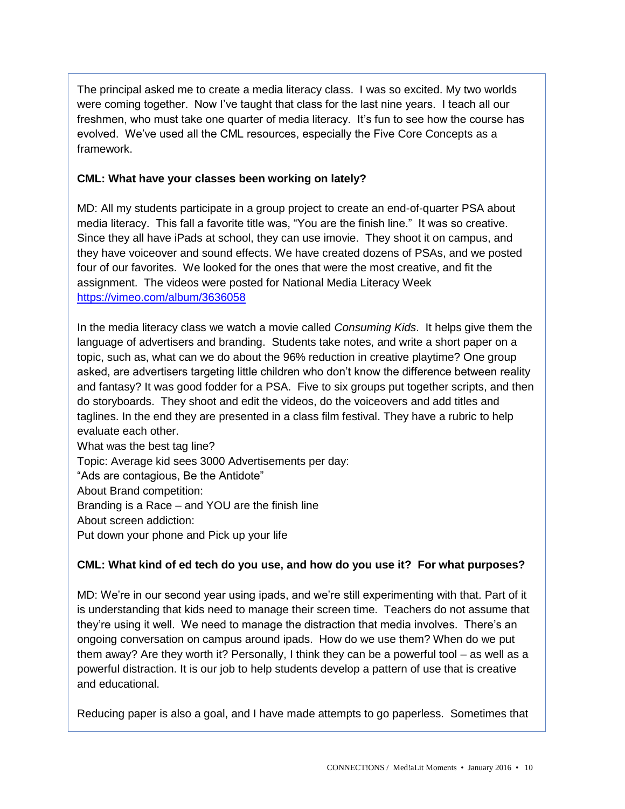The principal asked me to create a media literacy class. I was so excited. My two worlds were coming together. Now I've taught that class for the last nine years. I teach all our freshmen, who must take one quarter of media literacy. It's fun to see how the course has evolved. We've used all the CML resources, especially the Five Core Concepts as a framework.

#### **CML: What have your classes been working on lately?**

MD: All my students participate in a group project to create an end-of-quarter PSA about media literacy. This fall a favorite title was, "You are the finish line." It was so creative. Since they all have iPads at school, they can use imovie. They shoot it on campus, and they have voiceover and sound effects. We have created dozens of PSAs, and we posted four of our favorites. We looked for the ones that were the most creative, and fit the assignment. The videos were posted for National Media Literacy Week <https://vimeo.com/album/3636058>

In the media literacy class we watch a movie called *Consuming Kids*. It helps give them the language of advertisers and branding. Students take notes, and write a short paper on a topic, such as, what can we do about the 96% reduction in creative playtime? One group asked, are advertisers targeting little children who don't know the difference between reality and fantasy? It was good fodder for a PSA. Five to six groups put together scripts, and then do storyboards. They shoot and edit the videos, do the voiceovers and add titles and taglines. In the end they are presented in a class film festival. They have a rubric to help evaluate each other.

What was the best tag line? Topic: Average kid sees 3000 Advertisements per day: "Ads are contagious, Be the Antidote" About Brand competition: Branding is a Race – and YOU are the finish line About screen addiction: Put down your phone and Pick up your life

### **CML: What kind of ed tech do you use, and how do you use it? For what purposes?**

MD: We're in our second year using ipads, and we're still experimenting with that. Part of it is understanding that kids need to manage their screen time. Teachers do not assume that they're using it well. We need to manage the distraction that media involves. There's an ongoing conversation on campus around ipads. How do we use them? When do we put them away? Are they worth it? Personally, I think they can be a powerful tool – as well as a powerful distraction. It is our job to help students develop a pattern of use that is creative and educational.

Reducing paper is also a goal, and I have made attempts to go paperless. Sometimes that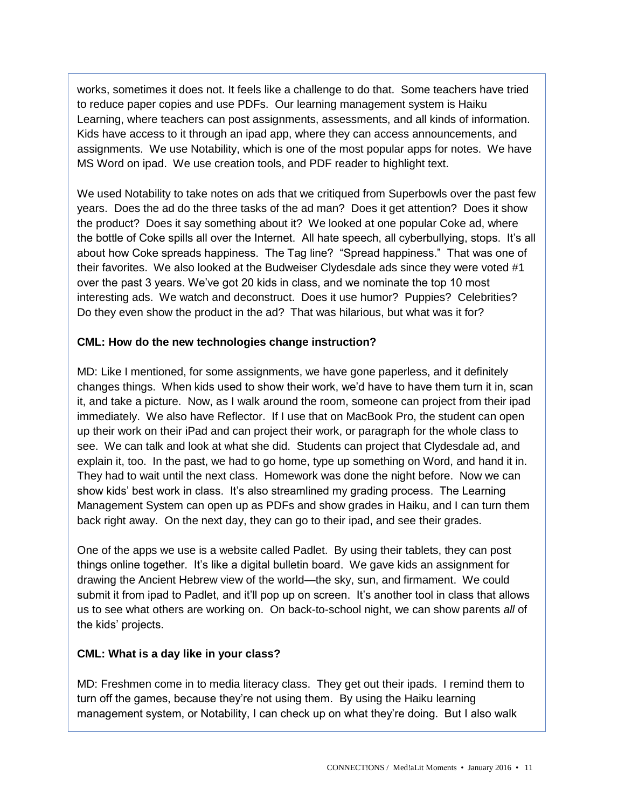works, sometimes it does not. It feels like a challenge to do that. Some teachers have tried to reduce paper copies and use PDFs. Our learning management system is Haiku Learning, where teachers can post assignments, assessments, and all kinds of information. Kids have access to it through an ipad app, where they can access announcements, and assignments. We use Notability, which is one of the most popular apps for notes. We have MS Word on ipad. We use creation tools, and PDF reader to highlight text.

We used Notability to take notes on ads that we critiqued from Superbowls over the past few years. Does the ad do the three tasks of the ad man? Does it get attention? Does it show the product? Does it say something about it? We looked at one popular Coke ad, where the bottle of Coke spills all over the Internet. All hate speech, all cyberbullying, stops. It's all about how Coke spreads happiness. The Tag line? "Spread happiness." That was one of their favorites. We also looked at the Budweiser Clydesdale ads since they were voted #1 over the past 3 years. We've got 20 kids in class, and we nominate the top 10 most interesting ads. We watch and deconstruct. Does it use humor? Puppies? Celebrities? Do they even show the product in the ad? That was hilarious, but what was it for?

#### **CML: How do the new technologies change instruction?**

MD: Like I mentioned, for some assignments, we have gone paperless, and it definitely changes things. When kids used to show their work, we'd have to have them turn it in, scan it, and take a picture. Now, as I walk around the room, someone can project from their ipad immediately. We also have Reflector. If I use that on MacBook Pro, the student can open up their work on their iPad and can project their work, or paragraph for the whole class to see. We can talk and look at what she did. Students can project that Clydesdale ad, and explain it, too. In the past, we had to go home, type up something on Word, and hand it in. They had to wait until the next class. Homework was done the night before. Now we can show kids' best work in class. It's also streamlined my grading process. The Learning Management System can open up as PDFs and show grades in Haiku, and I can turn them back right away. On the next day, they can go to their ipad, and see their grades.

One of the apps we use is a website called Padlet. By using their tablets, they can post things online together. It's like a digital bulletin board. We gave kids an assignment for drawing the Ancient Hebrew view of the world—the sky, sun, and firmament. We could submit it from ipad to Padlet, and it'll pop up on screen. It's another tool in class that allows us to see what others are working on. On back-to-school night, we can show parents *all* of the kids' projects.

### **CML: What is a day like in your class?**

MD: Freshmen come in to media literacy class. They get out their ipads. I remind them to turn off the games, because they're not using them. By using the Haiku learning management system, or Notability, I can check up on what they're doing. But I also walk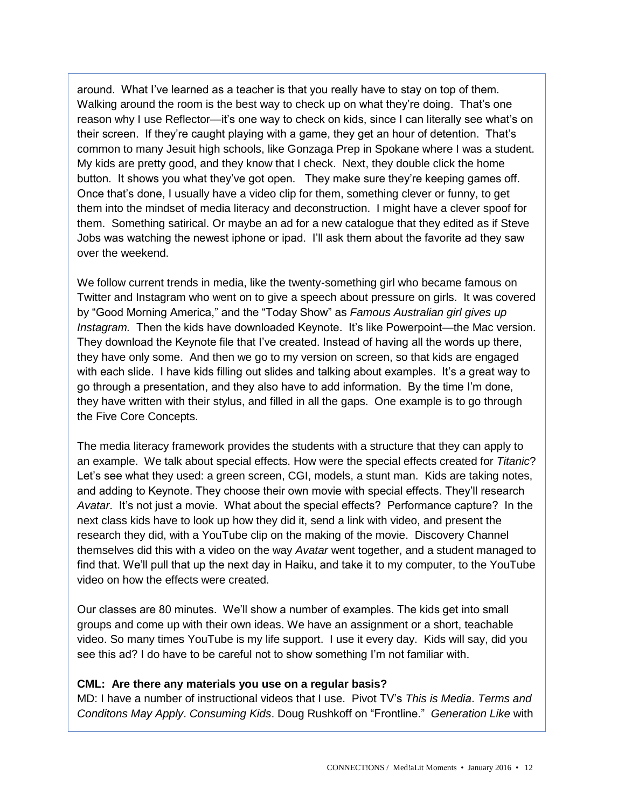around. What I've learned as a teacher is that you really have to stay on top of them. Walking around the room is the best way to check up on what they're doing. That's one reason why I use Reflector—it's one way to check on kids, since I can literally see what's on their screen. If they're caught playing with a game, they get an hour of detention. That's common to many Jesuit high schools, like Gonzaga Prep in Spokane where I was a student. My kids are pretty good, and they know that I check. Next, they double click the home button. It shows you what they've got open. They make sure they're keeping games off. Once that's done, I usually have a video clip for them, something clever or funny, to get them into the mindset of media literacy and deconstruction. I might have a clever spoof for them. Something satirical. Or maybe an ad for a new catalogue that they edited as if Steve Jobs was watching the newest iphone or ipad. I'll ask them about the favorite ad they saw over the weekend.

We follow current trends in media, like the twenty-something girl who became famous on Twitter and Instagram who went on to give a speech about pressure on girls. It was covered by "Good Morning America," and the "Today Show" as *Famous Australian girl gives up Instagram.* Then the kids have downloaded Keynote. It's like Powerpoint—the Mac version. They download the Keynote file that I've created. Instead of having all the words up there, they have only some. And then we go to my version on screen, so that kids are engaged with each slide. I have kids filling out slides and talking about examples. It's a great way to go through a presentation, and they also have to add information. By the time I'm done, they have written with their stylus, and filled in all the gaps. One example is to go through the Five Core Concepts.

The media literacy framework provides the students with a structure that they can apply to an example. We talk about special effects. How were the special effects created for *Titanic*? Let's see what they used: a green screen, CGI, models, a stunt man. Kids are taking notes, and adding to Keynote. They choose their own movie with special effects. They'll research *Avatar*. It's not just a movie. What about the special effects? Performance capture? In the next class kids have to look up how they did it, send a link with video, and present the research they did, with a YouTube clip on the making of the movie. Discovery Channel themselves did this with a video on the way *Avatar* went together, and a student managed to find that. We'll pull that up the next day in Haiku, and take it to my computer, to the YouTube video on how the effects were created.

Our classes are 80 minutes. We'll show a number of examples. The kids get into small groups and come up with their own ideas. We have an assignment or a short, teachable video. So many times YouTube is my life support. I use it every day. Kids will say, did you see this ad? I do have to be careful not to show something I'm not familiar with.

#### **CML: Are there any materials you use on a regular basis?**

MD: I have a number of instructional videos that I use. Pivot TV's *This is Media*. *Terms and Conditons May Apply*. *Consuming Kids*. Doug Rushkoff on "Frontline." *Generation Like* with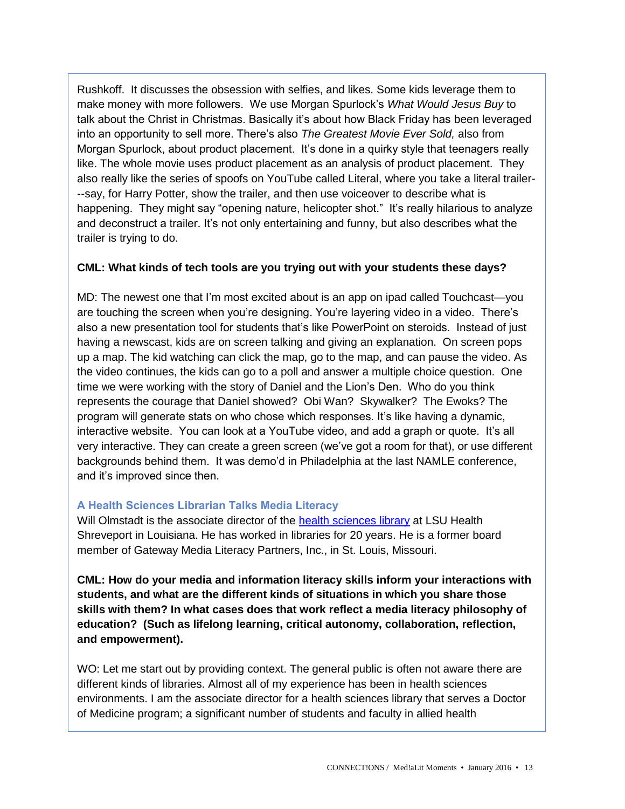Rushkoff. It discusses the obsession with selfies, and likes. Some kids leverage them to make money with more followers. We use Morgan Spurlock's *What Would Jesus Buy* to talk about the Christ in Christmas. Basically it's about how Black Friday has been leveraged into an opportunity to sell more. There's also *The Greatest Movie Ever Sold,* also from Morgan Spurlock, about product placement. It's done in a quirky style that teenagers really like. The whole movie uses product placement as an analysis of product placement. They also really like the series of spoofs on YouTube called Literal, where you take a literal trailer- --say, for Harry Potter, show the trailer, and then use voiceover to describe what is happening. They might say "opening nature, helicopter shot." It's really hilarious to analyze and deconstruct a trailer. It's not only entertaining and funny, but also describes what the trailer is trying to do.

#### **CML: What kinds of tech tools are you trying out with your students these days?**

MD: The newest one that I'm most excited about is an app on ipad called Touchcast—you are touching the screen when you're designing. You're layering video in a video. There's also a new presentation tool for students that's like PowerPoint on steroids. Instead of just having a newscast, kids are on screen talking and giving an explanation. On screen pops up a map. The kid watching can click the map, go to the map, and can pause the video. As the video continues, the kids can go to a poll and answer a multiple choice question. One time we were working with the story of Daniel and the Lion's Den. Who do you think represents the courage that Daniel showed? Obi Wan? Skywalker? The Ewoks? The program will generate stats on who chose which responses. It's like having a dynamic, interactive website. You can look at a YouTube video, and add a graph or quote. It's all very interactive. They can create a green screen (we've got a room for that), or use different backgrounds behind them. It was demo'd in Philadelphia at the last NAMLE conference, and it's improved since then.

#### **A Health Sciences Librarian Talks Media Literacy**

Will Olmstadt is the associate director of the [health sciences library](http://lib-sh.lsuhsc.edu/) at LSU Health Shreveport in Louisiana. He has worked in libraries for 20 years. He is a former board member of Gateway Media Literacy Partners, Inc., in St. Louis, Missouri.

**CML: How do your media and information literacy skills inform your interactions with students, and what are the different kinds of situations in which you share those skills with them? In what cases does that work reflect a media literacy philosophy of education? (Such as lifelong learning, critical autonomy, collaboration, reflection, and empowerment).**

WO: Let me start out by providing context. The general public is often not aware there are different kinds of libraries. Almost all of my experience has been in health sciences environments. I am the associate director for a health sciences library that serves a Doctor of Medicine program; a significant number of students and faculty in allied health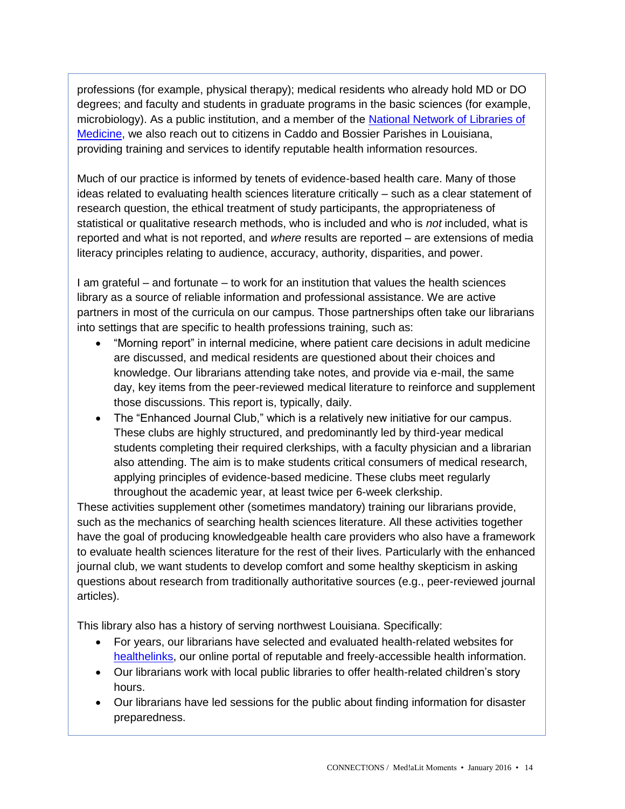professions (for example, physical therapy); medical residents who already hold MD or DO degrees; and faculty and students in graduate programs in the basic sciences (for example, microbiology). As a public institution, and a member of the [National Network of Libraries of](https://nnlm.gov/)  [Medicine,](https://nnlm.gov/) we also reach out to citizens in Caddo and Bossier Parishes in Louisiana, providing training and services to identify reputable health information resources.

Much of our practice is informed by tenets of evidence-based health care. Many of those ideas related to evaluating health sciences literature critically – such as a clear statement of research question, the ethical treatment of study participants, the appropriateness of statistical or qualitative research methods, who is included and who is *not* included, what is reported and what is not reported, and *where* results are reported – are extensions of media literacy principles relating to audience, accuracy, authority, disparities, and power.

I am grateful – and fortunate – to work for an institution that values the health sciences library as a source of reliable information and professional assistance. We are active partners in most of the curricula on our campus. Those partnerships often take our librarians into settings that are specific to health professions training, such as:

- "Morning report" in internal medicine, where patient care decisions in adult medicine are discussed, and medical residents are questioned about their choices and knowledge. Our librarians attending take notes, and provide via e-mail, the same day, key items from the peer-reviewed medical literature to reinforce and supplement those discussions. This report is, typically, daily.
- The "Enhanced Journal Club," which is a relatively new initiative for our campus. These clubs are highly structured, and predominantly led by third-year medical students completing their required clerkships, with a faculty physician and a librarian also attending. The aim is to make students critical consumers of medical research, applying principles of evidence-based medicine. These clubs meet regularly throughout the academic year, at least twice per 6-week clerkship.

These activities supplement other (sometimes mandatory) training our librarians provide, such as the mechanics of searching health sciences literature. All these activities together have the goal of producing knowledgeable health care providers who also have a framework to evaluate health sciences literature for the rest of their lives. Particularly with the enhanced journal club, we want students to develop comfort and some healthy skepticism in asking questions about research from traditionally authoritative sources (e.g., peer-reviewed journal articles).

This library also has a history of serving northwest Louisiana. Specifically:

- For years, our librarians have selected and evaluated health-related websites for [healthelinks,](http://www.healthelinks.org/index.php) our online portal of reputable and freely-accessible health information.
- Our librarians work with local public libraries to offer health-related children's story hours.
- Our librarians have led sessions for the public about finding information for disaster preparedness.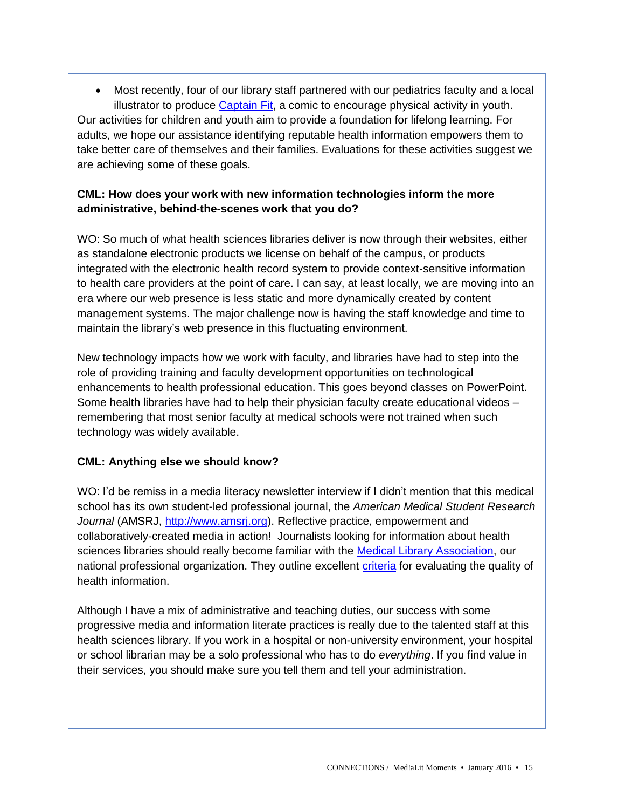Most recently, four of our library staff partnered with our pediatrics faculty and a local illustrator to produce [Captain Fit,](http://www.healthelinks.org/kidshealth/captain_fit_info_page.html) a comic to encourage physical activity in youth. Our activities for children and youth aim to provide a foundation for lifelong learning. For adults, we hope our assistance identifying reputable health information empowers them to take better care of themselves and their families. Evaluations for these activities suggest we are achieving some of these goals.

### **CML: How does your work with new information technologies inform the more administrative, behind-the-scenes work that you do?**

WO: So much of what health sciences libraries deliver is now through their websites, either as standalone electronic products we license on behalf of the campus, or products integrated with the electronic health record system to provide context-sensitive information to health care providers at the point of care. I can say, at least locally, we are moving into an era where our web presence is less static and more dynamically created by content management systems. The major challenge now is having the staff knowledge and time to maintain the library's web presence in this fluctuating environment.

New technology impacts how we work with faculty, and libraries have had to step into the role of providing training and faculty development opportunities on technological enhancements to health professional education. This goes beyond classes on PowerPoint. Some health libraries have had to help their physician faculty create educational videos – remembering that most senior faculty at medical schools were not trained when such technology was widely available.

### **CML: Anything else we should know?**

WO: I'd be remiss in a media literacy newsletter interview if I didn't mention that this medical school has its own student-led professional journal, the *American Medical Student Research Journal* (AMSRJ, [http://www.amsrj.org\)](http://www.amsrj.org/index.php?journal=amsrj). Reflective practice, empowerment and collaboratively-created media in action! Journalists looking for information about health sciences libraries should really become familiar with the **Medical Library Association**, our national professional organization. They outline excellent [criteria](http://www.mlanet.org/p/cm/ld/fid=398) for evaluating the quality of health information.

Although I have a mix of administrative and teaching duties, our success with some progressive media and information literate practices is really due to the talented staff at this health sciences library. If you work in a hospital or non-university environment, your hospital or school librarian may be a solo professional who has to do *everything*. If you find value in their services, you should make sure you tell them and tell your administration.